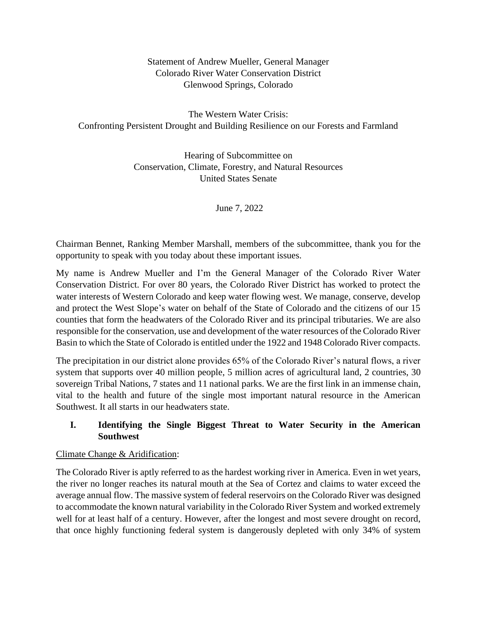Statement of Andrew Mueller, General Manager Colorado River Water Conservation District Glenwood Springs, Colorado

The Western Water Crisis: Confronting Persistent Drought and Building Resilience on our Forests and Farmland

> Hearing of Subcommittee on Conservation, Climate, Forestry, and Natural Resources United States Senate

> > June 7, 2022

Chairman Bennet, Ranking Member Marshall, members of the subcommittee, thank you for the opportunity to speak with you today about these important issues.

My name is Andrew Mueller and I'm the General Manager of the Colorado River Water Conservation District. For over 80 years, the Colorado River District has worked to protect the water interests of Western Colorado and keep water flowing west. We manage, conserve, develop and protect the West Slope's water on behalf of the State of Colorado and the citizens of our 15 counties that form the headwaters of the Colorado River and its principal tributaries. We are also responsible for the conservation, use and development of the water resources of the Colorado River Basin to which the State of Colorado is entitled under the 1922 and 1948 Colorado River compacts.

The precipitation in our district alone provides 65% of the Colorado River's natural flows, a river system that supports over 40 million people, 5 million acres of agricultural land, 2 countries, 30 sovereign Tribal Nations, 7 states and 11 national parks. We are the first link in an immense chain, vital to the health and future of the single most important natural resource in the American Southwest. It all starts in our headwaters state.

# **I. Identifying the Single Biggest Threat to Water Security in the American Southwest**

# Climate Change & Aridification:

The Colorado River is aptly referred to as the hardest working river in America. Even in wet years, the river no longer reaches its natural mouth at the Sea of Cortez and claims to water exceed the average annual flow. The massive system of federal reservoirs on the Colorado River was designed to accommodate the known natural variability in the Colorado River System and worked extremely well for at least half of a century. However, after the longest and most severe drought on record, that once highly functioning federal system is dangerously depleted with only 34% of system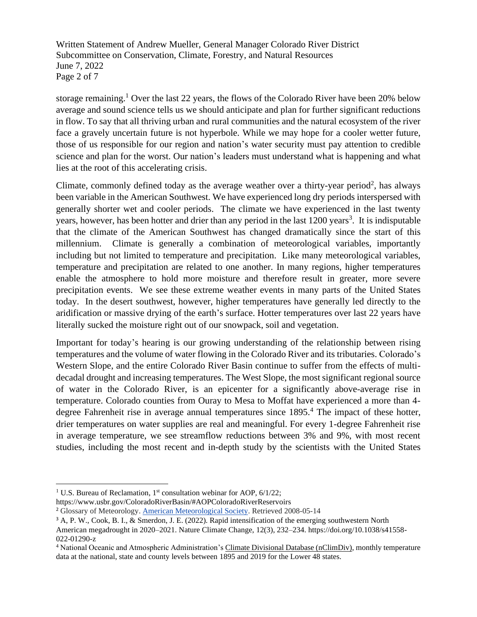Written Statement of Andrew Mueller, General Manager Colorado River District Subcommittee on Conservation, Climate, Forestry, and Natural Resources June 7, 2022 Page 2 of 7

storage remaining.<sup>1</sup> Over the last 22 years, the flows of the Colorado River have been 20% below average and sound science tells us we should anticipate and plan for further significant reductions in flow. To say that all thriving urban and rural communities and the natural ecosystem of the river face a gravely uncertain future is not hyperbole. While we may hope for a cooler wetter future, those of us responsible for our region and nation's water security must pay attention to credible science and plan for the worst. Our nation's leaders must understand what is happening and what lies at the root of this accelerating crisis.

Climate, commonly defined today as the average weather over a thirty-year period<sup>2</sup>, has always been variable in the American Southwest. We have experienced long dry periods interspersed with generally shorter wet and cooler periods. The climate we have experienced in the last twenty years, however, has been hotter and drier than any period in the last 1200 years<sup>3</sup>. It is indisputable that the climate of the American Southwest has changed dramatically since the start of this millennium. Climate is generally a combination of meteorological variables, importantly including but not limited to temperature and precipitation. Like many meteorological variables, temperature and precipitation are related to one another. In many regions, higher temperatures enable the atmosphere to hold more moisture and therefore result in greater, more severe precipitation events. We see these extreme weather events in many parts of the United States today. In the desert southwest, however, higher temperatures have generally led directly to the aridification or massive drying of the earth's surface. Hotter temperatures over last 22 years have literally sucked the moisture right out of our snowpack, soil and vegetation.

Important for today's hearing is our growing understanding of the relationship between rising temperatures and the volume of water flowing in the Colorado River and its tributaries. Colorado's Western Slope, and the entire Colorado River Basin continue to suffer from the effects of multidecadal drought and increasing temperatures. The West Slope, the most significant regional source of water in the Colorado River, is an epicenter for a significantly above-average rise in temperature. Colorado counties from Ouray to Mesa to Moffat have experienced a more than 4 degree Fahrenheit rise in average annual temperatures since 1895.<sup>4</sup> The impact of these hotter, drier temperatures on water supplies are real and meaningful. For every 1-degree Fahrenheit rise in average temperature, we see streamflow reductions between 3% and 9%, with most recent studies, including the most recent and in-depth study by the scientists with the United States

<sup>&</sup>lt;sup>1</sup> U.S. Bureau of Reclamation,  $1<sup>st</sup>$  consultation webinar for AOP,  $6/1/22$ ;

https://www.usbr.gov/ColoradoRiverBasin/#AOPColoradoRiverReservoirs

<sup>2</sup> Glossary of Meteorology. [American Meteorological Society.](https://en.wikipedia.org/wiki/American_Meteorological_Society) Retrieved 2008-05-14

<sup>&</sup>lt;sup>3</sup> A, P. W., Cook, B. I., & Smerdon, J. E. (2022). Rapid intensification of the emerging southwestern North American megadrought in 2020–2021. Nature Climate Change, 12(3), 232–234. https://doi.org/10.1038/s41558- 022-01290-z

<sup>&</sup>lt;sup>4</sup> National Oceanic and Atmospheric Administration's [Climate Divisional Database \(nClimDiv\),](https://data.nodc.noaa.gov/cgi-bin/iso?id=gov.noaa.ncdc:C00005) monthly temperature data at the national, state and county levels between 1895 and 2019 for the Lower 48 states.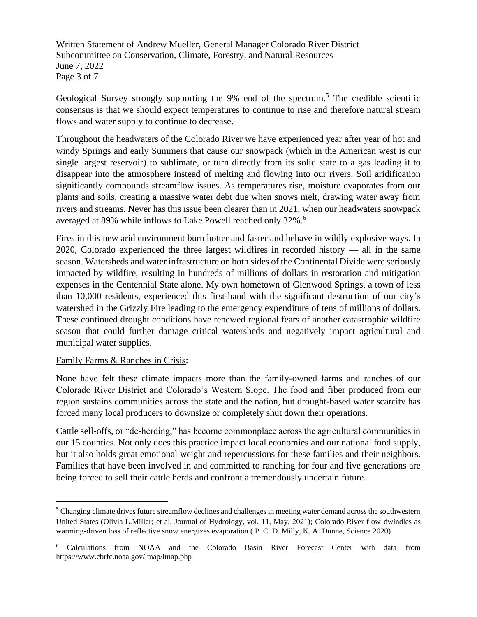Written Statement of Andrew Mueller, General Manager Colorado River District Subcommittee on Conservation, Climate, Forestry, and Natural Resources June 7, 2022 Page 3 of 7

Geological Survey strongly supporting the 9% end of the spectrum.<sup>5</sup> The credible scientific consensus is that we should expect temperatures to continue to rise and therefore natural stream flows and water supply to continue to decrease.

Throughout the headwaters of the Colorado River we have experienced year after year of hot and windy Springs and early Summers that cause our snowpack (which in the American west is our single largest reservoir) to sublimate, or turn directly from its solid state to a gas leading it to disappear into the atmosphere instead of melting and flowing into our rivers. Soil aridification significantly compounds streamflow issues. As temperatures rise, moisture evaporates from our plants and soils, creating a massive water debt due when snows melt, drawing water away from rivers and streams. Never has this issue been clearer than in 2021, when our headwaters snowpack averaged at 89% while inflows to Lake Powell reached only 32%.<sup>6</sup>

Fires in this new arid environment burn hotter and faster and behave in wildly explosive ways. In 2020, Colorado experienced the three largest wildfires in recorded history — all in the same season. Watersheds and water infrastructure on both sides of the Continental Divide were seriously impacted by wildfire, resulting in hundreds of millions of dollars in restoration and mitigation expenses in the Centennial State alone. My own hometown of Glenwood Springs, a town of less than 10,000 residents, experienced this first-hand with the significant destruction of our city's watershed in the Grizzly Fire leading to the emergency expenditure of tens of millions of dollars. These continued drought conditions have renewed regional fears of another catastrophic wildfire season that could further damage critical watersheds and negatively impact agricultural and municipal water supplies.

## Family Farms & Ranches in Crisis:

None have felt these climate impacts more than the family-owned farms and ranches of our Colorado River District and Colorado's Western Slope. The food and fiber produced from our region sustains communities across the state and the nation, but drought-based water scarcity has forced many local producers to downsize or completely shut down their operations.

Cattle sell-offs, or "de-herding," has become commonplace across the agricultural communities in our 15 counties. Not only does this practice impact local economies and our national food supply, but it also holds great emotional weight and repercussions for these families and their neighbors. Families that have been involved in and committed to ranching for four and five generations are being forced to sell their cattle herds and confront a tremendously uncertain future.

<sup>&</sup>lt;sup>5</sup> Changing climate drives future streamflow declines and challenges in meeting water demand across the southwestern United States (Olivia L.Miller; et al, Journal of Hydrology, vol. 11, May, 2021); Colorado River flow dwindles as warming-driven loss of reflective snow energizes evaporation ( P. C. D. Milly, K. A. Dunne, Science 2020)

<sup>6</sup> Calculations from NOAA and the Colorado Basin River Forecast Center with data from https://www.cbrfc.noaa.gov/lmap/lmap.php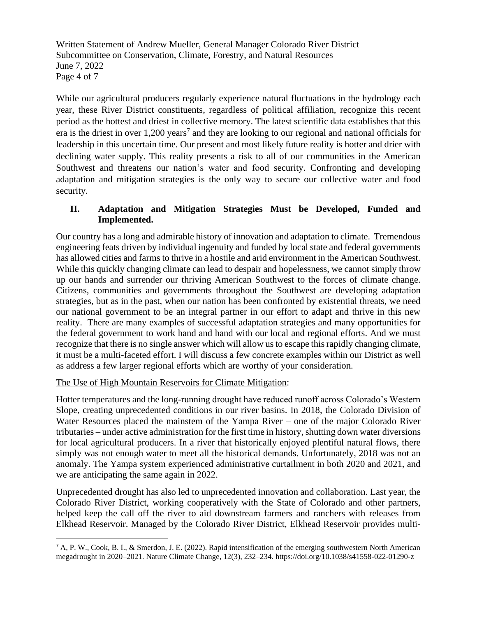Written Statement of Andrew Mueller, General Manager Colorado River District Subcommittee on Conservation, Climate, Forestry, and Natural Resources June 7, 2022 Page 4 of 7

While our agricultural producers regularly experience natural fluctuations in the hydrology each year, these River District constituents, regardless of political affiliation, recognize this recent period as the hottest and driest in collective memory. The latest scientific data establishes that this era is the driest in over  $1,200$  years<sup>7</sup> and they are looking to our regional and national officials for leadership in this uncertain time. Our present and most likely future reality is hotter and drier with declining water supply. This reality presents a risk to all of our communities in the American Southwest and threatens our nation's water and food security. Confronting and developing adaptation and mitigation strategies is the only way to secure our collective water and food security.

# **II. Adaptation and Mitigation Strategies Must be Developed, Funded and Implemented.**

Our country has a long and admirable history of innovation and adaptation to climate. Tremendous engineering feats driven by individual ingenuity and funded by local state and federal governments has allowed cities and farms to thrive in a hostile and arid environment in the American Southwest. While this quickly changing climate can lead to despair and hopelessness, we cannot simply throw up our hands and surrender our thriving American Southwest to the forces of climate change. Citizens, communities and governments throughout the Southwest are developing adaptation strategies, but as in the past, when our nation has been confronted by existential threats, we need our national government to be an integral partner in our effort to adapt and thrive in this new reality. There are many examples of successful adaptation strategies and many opportunities for the federal government to work hand and hand with our local and regional efforts. And we must recognize that there is no single answer which will allow us to escape this rapidly changing climate, it must be a multi-faceted effort. I will discuss a few concrete examples within our District as well as address a few larger regional efforts which are worthy of your consideration.

## The Use of High Mountain Reservoirs for Climate Mitigation:

Hotter temperatures and the long-running drought have reduced runoff across Colorado's Western Slope, creating unprecedented conditions in our river basins. In 2018, the Colorado Division of Water Resources placed the mainstem of the Yampa River – one of the major Colorado River tributaries – under active administration for the first time in history,shutting down water diversions for local agricultural producers. In a river that historically enjoyed plentiful natural flows, there simply was not enough water to meet all the historical demands. Unfortunately, 2018 was not an anomaly. The Yampa system experienced administrative curtailment in both 2020 and 2021, and we are anticipating the same again in 2022.

Unprecedented drought has also led to unprecedented innovation and collaboration. Last year, the Colorado River District, working cooperatively with the State of Colorado and other partners, helped keep the call off the river to aid downstream farmers and ranchers with releases from Elkhead Reservoir. Managed by the Colorado River District, Elkhead Reservoir provides multi-

<sup>7</sup> A, P. W., Cook, B. I., & Smerdon, J. E. (2022). Rapid intensification of the emerging southwestern North American megadrought in 2020–2021. Nature Climate Change, 12(3), 232–234. https://doi.org/10.1038/s41558-022-01290-z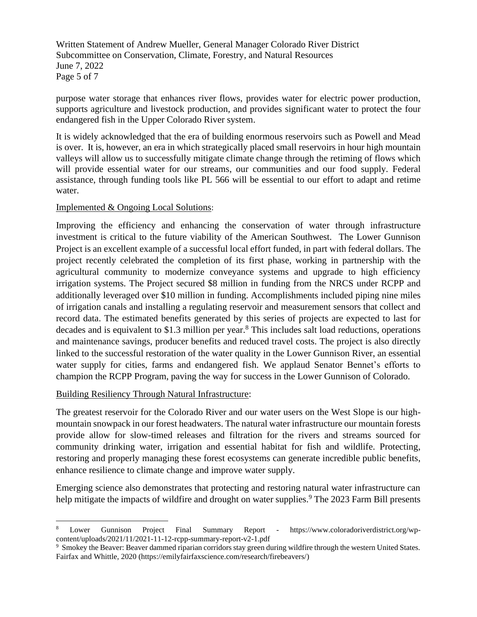Written Statement of Andrew Mueller, General Manager Colorado River District Subcommittee on Conservation, Climate, Forestry, and Natural Resources June 7, 2022 Page 5 of 7

purpose water storage that enhances river flows, provides water for electric power production, supports agriculture and livestock production, and provides significant water to protect the four endangered fish in the Upper Colorado River system.

It is widely acknowledged that the era of building enormous reservoirs such as Powell and Mead is over. It is, however, an era in which strategically placed small reservoirs in hour high mountain valleys will allow us to successfully mitigate climate change through the retiming of flows which will provide essential water for our streams, our communities and our food supply. Federal assistance, through funding tools like PL 566 will be essential to our effort to adapt and retime water.

## Implemented & Ongoing Local Solutions:

Improving the efficiency and enhancing the conservation of water through infrastructure investment is critical to the future viability of the American Southwest. The Lower Gunnison Project is an excellent example of a successful local effort funded, in part with federal dollars. The project recently celebrated the completion of its first phase, working in partnership with the agricultural community to modernize conveyance systems and upgrade to high efficiency irrigation systems. The Project secured \$8 million in funding from the NRCS under RCPP and additionally leveraged over \$10 million in funding. Accomplishments included piping nine miles of irrigation canals and installing a regulating reservoir and measurement sensors that collect and record data. The estimated benefits generated by this series of projects are expected to last for decades and is equivalent to \$1.3 million per year.<sup>8</sup> This includes salt load reductions, operations and maintenance savings, producer benefits and reduced travel costs. The project is also directly linked to the successful restoration of the water quality in the Lower Gunnison River, an essential water supply for cities, farms and endangered fish. We applaud Senator Bennet's efforts to champion the RCPP Program, paving the way for success in the Lower Gunnison of Colorado.

# Building Resiliency Through Natural Infrastructure:

The greatest reservoir for the Colorado River and our water users on the West Slope is our highmountain snowpack in our forest headwaters. The natural water infrastructure our mountain forests provide allow for slow-timed releases and filtration for the rivers and streams sourced for community drinking water, irrigation and essential habitat for fish and wildlife. Protecting, restoring and properly managing these forest ecosystems can generate incredible public benefits, enhance resilience to climate change and improve water supply.

Emerging science also demonstrates that protecting and restoring natural water infrastructure can help mitigate the impacts of wildfire and drought on water supplies.<sup>9</sup> The 2023 Farm Bill presents

<sup>8</sup> Lower Gunnison Project Final Summary Report - https://www.coloradoriverdistrict.org/wpcontent/uploads/2021/11/2021-11-12-rcpp-summary-report-v2-1.pdf

<sup>&</sup>lt;sup>9</sup> Smokey the Beaver: Beaver dammed riparian corridors stay green during wildfire through the western United States. Fairfax and Whittle, 2020 (https://emilyfairfaxscience.com/research/firebeavers/)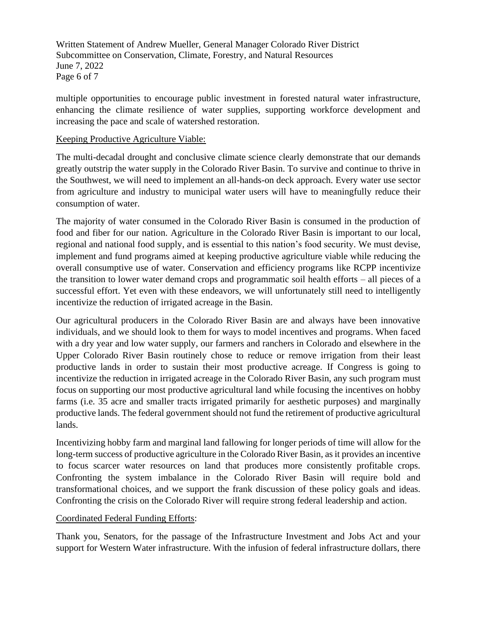Written Statement of Andrew Mueller, General Manager Colorado River District Subcommittee on Conservation, Climate, Forestry, and Natural Resources June 7, 2022 Page 6 of 7

multiple opportunities to encourage public investment in forested natural water infrastructure, enhancing the climate resilience of water supplies, supporting workforce development and increasing the pace and scale of watershed restoration.

## Keeping Productive Agriculture Viable:

The multi-decadal drought and conclusive climate science clearly demonstrate that our demands greatly outstrip the water supply in the Colorado River Basin. To survive and continue to thrive in the Southwest, we will need to implement an all-hands-on deck approach. Every water use sector from agriculture and industry to municipal water users will have to meaningfully reduce their consumption of water.

The majority of water consumed in the Colorado River Basin is consumed in the production of food and fiber for our nation. Agriculture in the Colorado River Basin is important to our local, regional and national food supply, and is essential to this nation's food security. We must devise, implement and fund programs aimed at keeping productive agriculture viable while reducing the overall consumptive use of water. Conservation and efficiency programs like RCPP incentivize the transition to lower water demand crops and programmatic soil health efforts – all pieces of a successful effort. Yet even with these endeavors, we will unfortunately still need to intelligently incentivize the reduction of irrigated acreage in the Basin.

Our agricultural producers in the Colorado River Basin are and always have been innovative individuals, and we should look to them for ways to model incentives and programs. When faced with a dry year and low water supply, our farmers and ranchers in Colorado and elsewhere in the Upper Colorado River Basin routinely chose to reduce or remove irrigation from their least productive lands in order to sustain their most productive acreage. If Congress is going to incentivize the reduction in irrigated acreage in the Colorado River Basin, any such program must focus on supporting our most productive agricultural land while focusing the incentives on hobby farms (i.e. 35 acre and smaller tracts irrigated primarily for aesthetic purposes) and marginally productive lands. The federal government should not fund the retirement of productive agricultural lands.

Incentivizing hobby farm and marginal land fallowing for longer periods of time will allow for the long-term success of productive agriculture in the Colorado River Basin, as it provides an incentive to focus scarcer water resources on land that produces more consistently profitable crops. Confronting the system imbalance in the Colorado River Basin will require bold and transformational choices, and we support the frank discussion of these policy goals and ideas. Confronting the crisis on the Colorado River will require strong federal leadership and action.

## Coordinated Federal Funding Efforts:

Thank you, Senators, for the passage of the Infrastructure Investment and Jobs Act and your support for Western Water infrastructure. With the infusion of federal infrastructure dollars, there